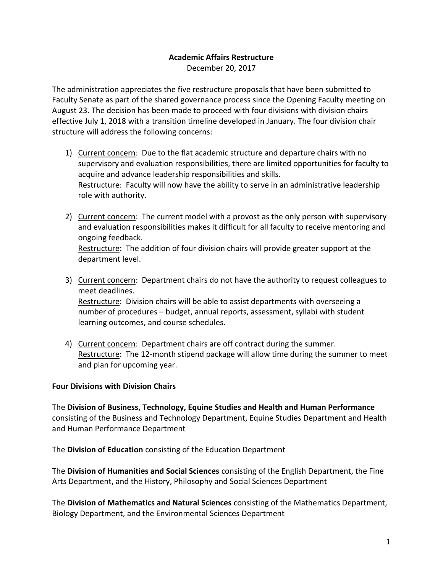# **Academic Affairs Restructure**

December 20, 2017

The administration appreciates the five restructure proposals that have been submitted to Faculty Senate as part of the shared governance process since the Opening Faculty meeting on August 23. The decision has been made to proceed with four divisions with division chairs effective July 1, 2018 with a transition timeline developed in January. The four division chair structure will address the following concerns:

- 1) Current concern: Due to the flat academic structure and departure chairs with no supervisory and evaluation responsibilities, there are limited opportunities for faculty to acquire and advance leadership responsibilities and skills. Restructure: Faculty will now have the ability to serve in an administrative leadership role with authority.
- 2) Current concern: The current model with a provost as the only person with supervisory and evaluation responsibilities makes it difficult for all faculty to receive mentoring and ongoing feedback. Restructure: The addition of four division chairs will provide greater support at the department level.
- 3) Current concern: Department chairs do not have the authority to request colleagues to meet deadlines.

Restructure: Division chairs will be able to assist departments with overseeing a number of procedures – budget, annual reports, assessment, syllabi with student learning outcomes, and course schedules.

4) Current concern: Department chairs are off contract during the summer. Restructure: The 12-month stipend package will allow time during the summer to meet and plan for upcoming year.

#### **Four Divisions with Division Chairs**

The **Division of Business, Technology, Equine Studies and Health and Human Performance**  consisting of the Business and Technology Department, Equine Studies Department and Health and Human Performance Department

The **Division of Education** consisting of the Education Department

The **Division of Humanities and Social Sciences** consisting of the English Department, the Fine Arts Department, and the History, Philosophy and Social Sciences Department

The **Division of Mathematics and Natural Sciences** consisting of the Mathematics Department, Biology Department, and the Environmental Sciences Department